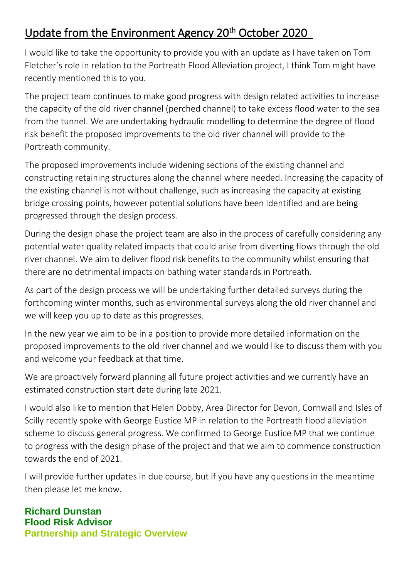## Update from the Environment Agency 20<sup>th</sup> October 2020

I would like to take the opportunity to provide you with an update as I have taken on Tom Fletcher's role in relation to the Portreath Flood Alleviation project, I think Tom might have recently mentioned this to you.

The project team continues to make good progress with design related activities to increase the capacity of the old river channel (perched channel) to take excess flood water to the sea from the tunnel. We are undertaking hydraulic modelling to determine the degree of flood risk benefit the proposed improvements to the old river channel will provide to the Portreath community.

The proposed improvements include widening sections of the existing channel and constructing retaining structures along the channel where needed. Increasing the capacity of the existing channel is not without challenge, such as increasing the capacity at existing bridge crossing points, however potential solutions have been identified and are being progressed through the design process.

During the design phase the project team are also in the process of carefully considering any potential water quality related impacts that could arise from diverting flows through the old river channel. We aim to deliver flood risk benefits to the community whilst ensuring that there are no detrimental impacts on bathing water standards in Portreath.

As part of the design process we will be undertaking further detailed surveys during the forthcoming winter months, such as environmental surveys along the old river channel and we will keep you up to date as this progresses.

In the new year we aim to be in a position to provide more detailed information on the proposed improvements to the old river channel and we would like to discuss them with you and welcome your feedback at that time.

We are proactively forward planning all future project activities and we currently have an estimated construction start date during late 2021.

I would also like to mention that Helen Dobby, Area Director for Devon, Cornwall and Isles of Scilly recently spoke with George Eustice MP in relation to the Portreath flood alleviation scheme to discuss general progress. We confirmed to George Eustice MP that we continue to progress with the design phase of the project and that we aim to commence construction towards the end of 2021.

I will provide further updates in due course, but if you have any questions in the meantime then please let me know.

**Richard Dunstan Flood Risk Advisor Partnership and Strategic Overview**